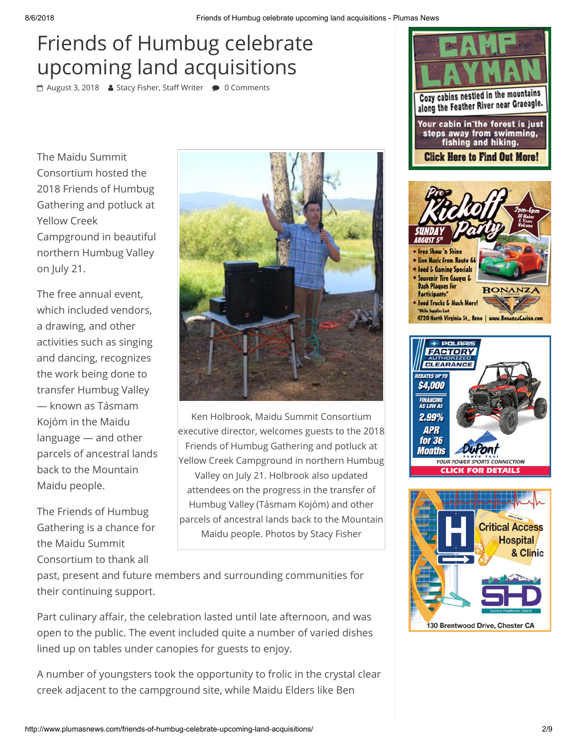## Friends of Humbug celebrate upcoming land acquisitions

<sup>A</sup> [August 3, 2018](http://www.plumasnews.com/friends-of-humbug-celebrate-upcoming-land-acquisitions/) & Stacy Fisher, Staff Writer ● 0 Comments

The Maidu Summit Consortium hosted the 2018 Friends of Humbug Gathering and potluck at Yellow Creek Campground in beautiful northern Humbug Valley on July 21.

The free annual event, which included vendors, a drawing, and other activities such as singing and dancing, recognizes the work being done to transfer Humbug Valley — known as Tásmam Kojóm in the Maidu language — and other parcels of ancestral lands back to the Mountain Maidu people.

The Friends of Humbug Gathering is a chance for the Maidu Summit Consortium to thank all



Ken Holbrook, Maidu Summit Consortium executive director, welcomes guests to the 2018 Friends of Humbug Gathering and potluck at Yellow Creek Campground in northern Humbug Valley on July 21. Holbrook also updated attendees on the progress in the transfer of Humbug Valley (Tásmam Kojóm) and other parcels of ancestral lands back to the Mountain Maidu people. Photos by Stacy Fisher

past, present and future members and surrounding communities for their continuing support.

Part culinary affair, the celebration lasted until late afternoon, and was open to the public. The event included quite a number of varied dishes lined up on tables under canopies for guests to enjoy.

A number of youngsters took the opportunity to frolic in the crystal clear creek adjacent to the campground site, while Maidu Elders like Ben







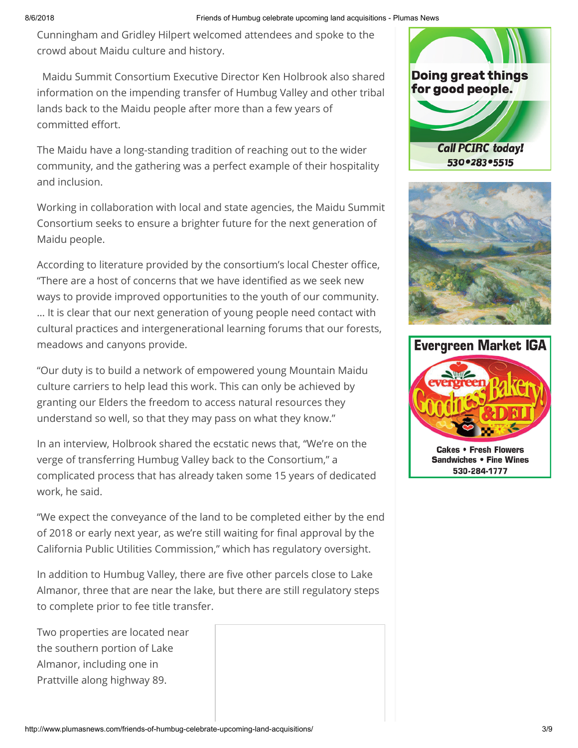Cunningham and Gridley Hilpert welcomed attendees and spoke to the crowd about Maidu culture and history.

 Maidu Summit Consortium Executive Director Ken Holbrook also shared information on the impending transfer of Humbug Valley and other tribal lands back to the Maidu people after more than a few years of committed effort.

The Maidu have a long-standing tradition of reaching out to the wider community, and the gathering was a perfect example of their hospitality and inclusion.

Working in collaboration with local and state agencies, the Maidu Summit Consortium seeks to ensure a brighter future for the next generation of Maidu people.

According to literature provided by the consortium's local Chester office, "There are a host of concerns that we have identified as we seek new ways to provide improved opportunities to the youth of our community. … It is clear that our next generation of young people need contact with cultural practices and intergenerational learning forums that our forests, meadows and canyons provide.

"Our duty is to build a network of empowered young Mountain Maidu culture carriers to help lead this work. This can only be achieved by granting our Elders the freedom to access natural resources they understand so well, so that they may pass on what they know."

In an interview, Holbrook shared the ecstatic news that, "We're on the verge of transferring Humbug Valley back to the Consortium," a complicated process that has already taken some 15 years of dedicated work, he said.

"We expect the conveyance of the land to be completed either by the end of 2018 or early next year, as we're still waiting for final approval by the California Public Utilities Commission," which has regulatory oversight.

In addition to Humbug Valley, there are five other parcels close to Lake Almanor, three that are near the lake, but there are still regulatory steps to complete prior to fee title transfer.

Two properties are located near the southern portion of Lake Almanor, including one in Prattville along highway 89.







**Cakes • Fresh Flowers Sandwiches • Fine Wines** 530-284-1777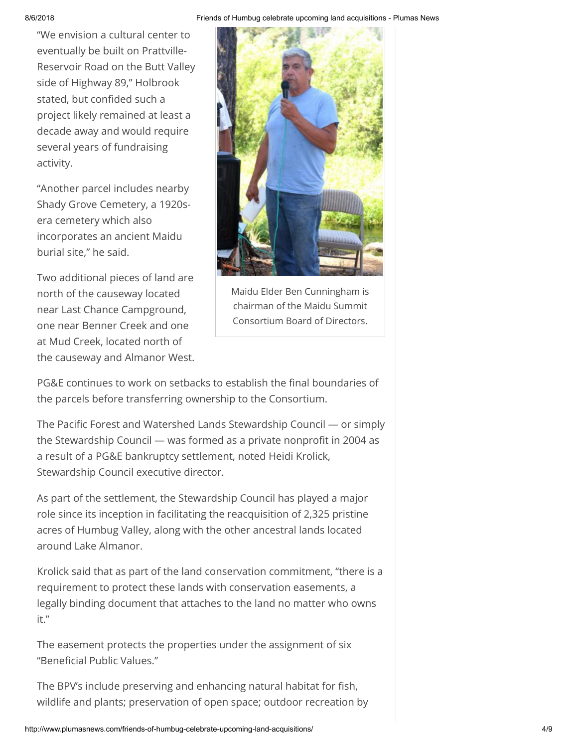8/6/2018 Friends of Humbug celebrate upcoming land acquisitions - Plumas News

"We envision a cultural center to eventually be built on Prattville-Reservoir Road on the Butt Valley side of Highway 89," Holbrook stated, but confided such a project likely remained at least a decade away and would require several years of fundraising activity.

"Another parcel includes nearby Shady Grove Cemetery, a 1920sera cemetery which also incorporates an ancient Maidu burial site," he said.

Two additional pieces of land are north of the causeway located near Last Chance Campground, one near Benner Creek and one at Mud Creek, located north of the causeway and Almanor West.



Maidu Elder Ben Cunningham is chairman of the Maidu Summit Consortium Board of Directors.

PG&E continues to work on setbacks to establish the final boundaries of the parcels before transferring ownership to the Consortium.

The Pacific Forest and Watershed Lands Stewardship Council — or simply the Stewardship Council — was formed as a private nonprofit in 2004 as a result of a PG&E bankruptcy settlement, noted Heidi Krolick, Stewardship Council executive director.

As part of the settlement, the Stewardship Council has played a major role since its inception in facilitating the reacquisition of 2,325 pristine acres of Humbug Valley, along with the other ancestral lands located around Lake Almanor.

Krolick said that as part of the land conservation commitment, "there is a requirement to protect these lands with conservation easements, a legally binding document that attaches to the land no matter who owns it."

The easement protects the properties under the assignment of six "Beneficial Public Values."

The BPV's include preserving and enhancing natural habitat for fish, wildlife and plants; preservation of open space; outdoor recreation by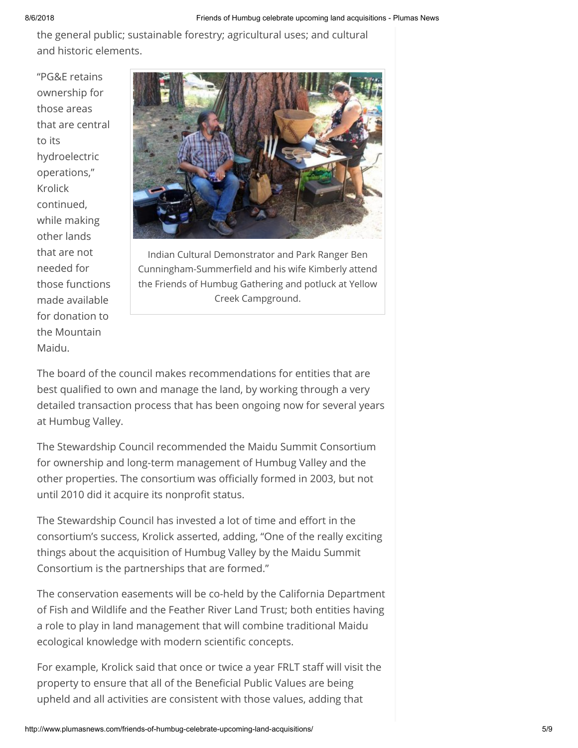the general public; sustainable forestry; agricultural uses; and cultural and historic elements.

"PG&E retains ownership for those areas that are central to its hydroelectric operations," Krolick continued, while making other lands that are not needed for those functions made available for donation to the Mountain Maidu.



Indian Cultural Demonstrator and Park Ranger Ben Cunningham-Summerfield and his wife Kimberly attend the Friends of Humbug Gathering and potluck at Yellow Creek Campground.

The board of the council makes recommendations for entities that are best qualified to own and manage the land, by working through a very detailed transaction process that has been ongoing now for several years at Humbug Valley.

The Stewardship Council recommended the Maidu Summit Consortium for ownership and long-term management of Humbug Valley and the other properties. The consortium was officially formed in 2003, but not until 2010 did it acquire its nonprofit status.

The Stewardship Council has invested a lot of time and effort in the consortium's success, Krolick asserted, adding, "One of the really exciting things about the acquisition of Humbug Valley by the Maidu Summit Consortium is the partnerships that are formed."

The conservation easements will be co-held by the California Department of Fish and Wildlife and the Feather River Land Trust; both entities having a role to play in land management that will combine traditional Maidu ecological knowledge with modern scientific concepts.

For example, Krolick said that once or twice a year FRLT staff will visit the property to ensure that all of the Beneficial Public Values are being upheld and all activities are consistent with those values, adding that